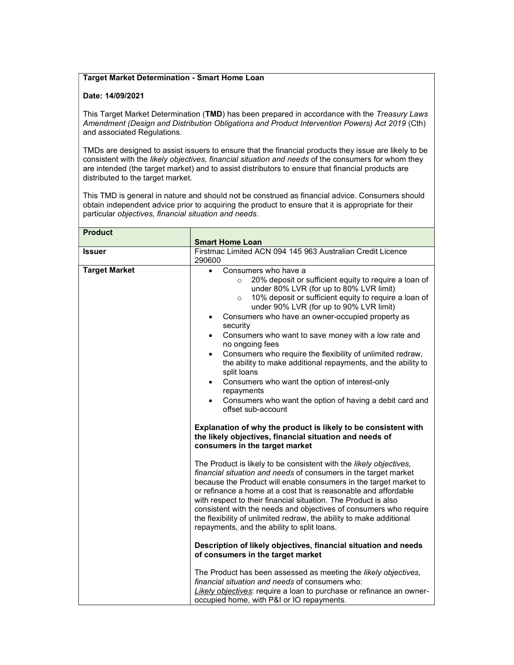## Target Market Determination - Smart Home Loan

## Date: 14/09/2021

This Target Market Determination (TMD) has been prepared in accordance with the Treasury Laws Amendment (Design and Distribution Obligations and Product Intervention Powers) Act 2019 (Cth) and associated Regulations.

TMDs are designed to assist issuers to ensure that the financial products they issue are likely to be consistent with the likely objectives, financial situation and needs of the consumers for whom they are intended (the target market) and to assist distributors to ensure that financial products are distributed to the target market.

This TMD is general in nature and should not be construed as financial advice. Consumers should obtain independent advice prior to acquiring the product to ensure that it is appropriate for their particular objectives, financial situation and needs.

| <b>Product</b>       | <b>Smart Home Loan</b>                                                                                                                                                                                                                                                                                                                                                                                                                                                                                                                                                                                                                                                                                                                                         |
|----------------------|----------------------------------------------------------------------------------------------------------------------------------------------------------------------------------------------------------------------------------------------------------------------------------------------------------------------------------------------------------------------------------------------------------------------------------------------------------------------------------------------------------------------------------------------------------------------------------------------------------------------------------------------------------------------------------------------------------------------------------------------------------------|
| <b>Issuer</b>        | Firstmac Limited ACN 094 145 963 Australian Credit Licence<br>290600                                                                                                                                                                                                                                                                                                                                                                                                                                                                                                                                                                                                                                                                                           |
| <b>Target Market</b> | Consumers who have a<br>$\bullet$<br>20% deposit or sufficient equity to require a loan of<br>$\circ$<br>under 80% LVR (for up to 80% LVR limit)<br>10% deposit or sufficient equity to require a loan of<br>$\circ$<br>under 90% LVR (for up to 90% LVR limit)<br>Consumers who have an owner-occupied property as<br>security<br>Consumers who want to save money with a low rate and<br>$\bullet$<br>no ongoing fees<br>Consumers who require the flexibility of unlimited redraw,<br>$\bullet$<br>the ability to make additional repayments, and the ability to<br>split loans<br>Consumers who want the option of interest-only<br>$\bullet$<br>repayments<br>Consumers who want the option of having a debit card and<br>$\bullet$<br>offset sub-account |
|                      | Explanation of why the product is likely to be consistent with<br>the likely objectives, financial situation and needs of<br>consumers in the target market                                                                                                                                                                                                                                                                                                                                                                                                                                                                                                                                                                                                    |
|                      | The Product is likely to be consistent with the likely objectives,<br>financial situation and needs of consumers in the target market<br>because the Product will enable consumers in the target market to<br>or refinance a home at a cost that is reasonable and affordable<br>with respect to their financial situation. The Product is also<br>consistent with the needs and objectives of consumers who require<br>the flexibility of unlimited redraw, the ability to make additional<br>repayments, and the ability to split loans.                                                                                                                                                                                                                     |
|                      | Description of likely objectives, financial situation and needs<br>of consumers in the target market                                                                                                                                                                                                                                                                                                                                                                                                                                                                                                                                                                                                                                                           |
|                      | The Product has been assessed as meeting the likely objectives,<br>financial situation and needs of consumers who:<br>Likely objectives: require a loan to purchase or refinance an owner-<br>occupied home, with P&I or IO repayments.                                                                                                                                                                                                                                                                                                                                                                                                                                                                                                                        |